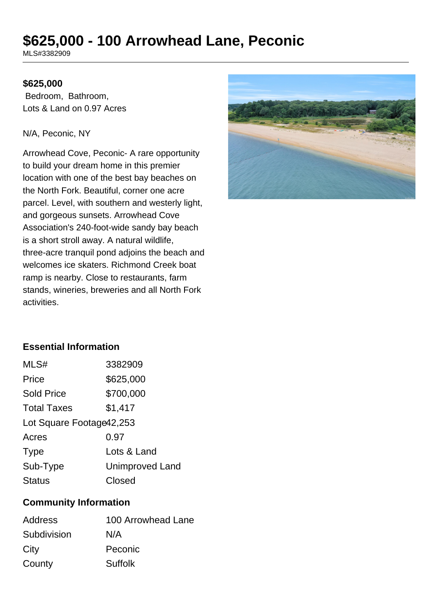# **\$625,000 - 100 Arrowhead Lane, Peconic**

MLS#3382909

#### **\$625,000**

 Bedroom, Bathroom, Lots & Land on 0.97 Acres

#### N/A, Peconic, NY

Arrowhead Cove, Peconic- A rare opportunity to build your dream home in this premier location with one of the best bay beaches on the North Fork. Beautiful, corner one acre parcel. Level, with southern and westerly light, and gorgeous sunsets. Arrowhead Cove Association's 240-foot-wide sandy bay beach is a short stroll away. A natural wildlife, three-acre tranquil pond adjoins the beach and welcomes ice skaters. Richmond Creek boat ramp is nearby. Close to restaurants, farm stands, wineries, breweries and all North Fork activities.



# **Essential Information**

| MLS#                      | 3382909                |  |
|---------------------------|------------------------|--|
| Price                     | \$625,000              |  |
| <b>Sold Price</b>         | \$700,000              |  |
| <b>Total Taxes</b>        | \$1,417                |  |
| Lot Square Footage 42,253 |                        |  |
| Acres                     | 0.97                   |  |
| <b>Type</b>               | Lots & Land            |  |
| Sub-Type                  | <b>Unimproved Land</b> |  |
| <b>Status</b>             | Closed                 |  |

#### **Community Information**

| Address     | 100 Arrowhead Lane |
|-------------|--------------------|
| Subdivision | N/A                |
| City        | Peconic            |
| County      | Suffolk            |